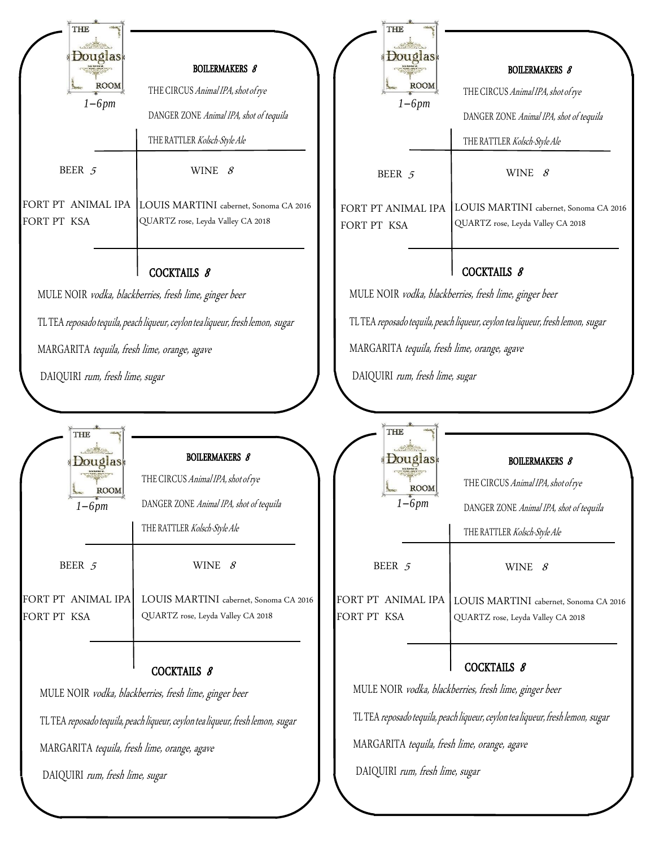|             | <b>THE</b><br>ouglas |                                                      |
|-------------|----------------------|------------------------------------------------------|
|             | <b>Les Kaytes d</b>  | <b>BOILERMAKERS 8</b>                                |
|             | ROOM                 | THE CIRCUS Animal IPA, shot of rye                   |
|             | $1-6pm$              | DANGER ZONE Animal IPA, shot of tequila              |
|             |                      | THE RATTLER Kolsch-Style Ale                         |
|             | BEER 5               | WINE $8$                                             |
|             | FORT PT ANIMAL IPA   | LOUIS MARTINI cabernet, Sonoma CA 2016               |
| FORT PT KSA |                      | QUARTZ rose, Leyda Valley CA 2018                    |
|             |                      |                                                      |
|             |                      | COCKTAILS 8                                          |
|             |                      | MII E NOID radke blockborgies frosh lime ginger beer |

MULE NOIR *vodka, blackberries, fresh lime, ginger beer* 

TL TEA reposado tequila, peach liqueur, ceylon tea liqueur, fresh lemon, sugar

MARGARITA *tequila, fresh lime, orange, agave* 

DAIQUIRI *rum, fresh lime, sugar*